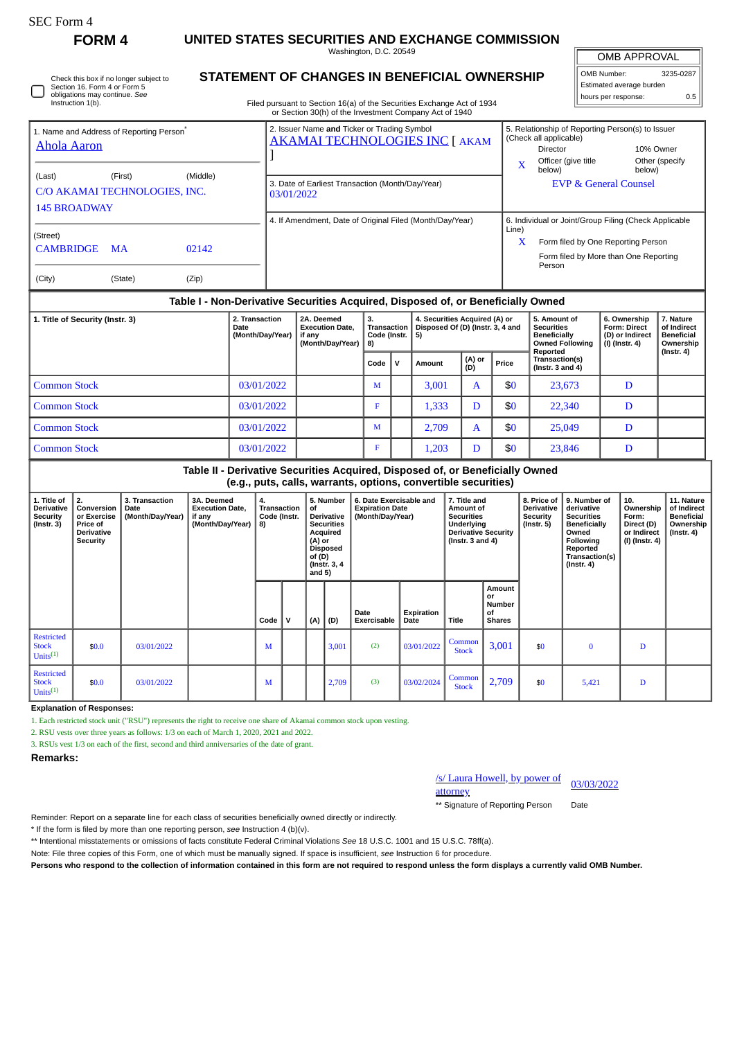# **FORM 4 UNITED STATES SECURITIES AND EXCHANGE COMMISSION**

Washington, D.C. 20549

**STATEMENT OF CHANGES IN BENEFICIAL OWNERSHIP**

OMB APPROVAL

| OMB Number:<br>3235-0287 |     |  |  |  |  |  |  |  |  |
|--------------------------|-----|--|--|--|--|--|--|--|--|
| Estimated average burden |     |  |  |  |  |  |  |  |  |
| hours per response:      | 0.5 |  |  |  |  |  |  |  |  |

Check this box if no longer subject to Section 16. Form 4 or Form 5

#### Filed pursuant to Section 16(a) of the Securities Exchange Act of 1934 or Section 30(h) of the Investment Company Act of 1940 obligations may continue. *See* Instruction 1(b) 1. Name and Address of Reporting Person<sup>\*</sup> [Ahola Aaron](http://www.sec.gov/cgi-bin/browse-edgar?action=getcompany&CIK=0001718588) 2. Issuer Name **and** Ticker or Trading Symbol [AKAMAI TECHNOLOGIES INC](http://www.sec.gov/cgi-bin/browse-edgar?action=getcompany&CIK=0001086222) [ AKAM ] 5. Relationship of Reporting Person(s) to Issuer (Check all applicable) Director 10% Owner Officer (give title

(Last) (First) (Middle) C/O AKAMAI TECHNOLOGIES, INC. 145 BROADWAY (Street) CAMBRIDGE MA 02142 (City) (State) (Zip) X below) Other (specify below) 3. Date of Earliest Transaction (Month/Day/Year) **EVP & General Counsel** 03/01/2022 4. If Amendment, Date of Original Filed (Month/Day/Year) | 6. Individual or Joint/Group Filing (Check Applicable Line) X Form filed by One Reporting Person Form filed by More than One Reporting Person

## **Table I - Non-Derivative Securities Acquired, Disposed of, or Beneficially Owned**

| 1. Title of Security (Instr. 3) | 2. Transaction<br>Date<br>(Month/Day/Year) | 2A. Deemed<br><b>Execution Date.</b><br>if any<br>(Month/Day/Year) | 3.<br>8) | 4. Securities Acquired (A) or<br>Disposed Of (D) (Instr. 3, 4 and<br><b>Transaction</b><br>Code (Instr.  <br>5) |        |               | 5. Amount of<br><b>Securities</b><br><b>Beneficially</b><br><b>Owned Following</b><br>Reported | 6. Ownership<br><b>Form: Direct</b><br>(D) or Indirect<br>$(l)$ (lnstr. 4) | 7. Nature<br>of Indirect<br><b>Beneficial</b><br>Ownership<br>$($ lnstr. 4 $)$ |  |
|---------------------------------|--------------------------------------------|--------------------------------------------------------------------|----------|-----------------------------------------------------------------------------------------------------------------|--------|---------------|------------------------------------------------------------------------------------------------|----------------------------------------------------------------------------|--------------------------------------------------------------------------------|--|
|                                 |                                            |                                                                    | Code     |                                                                                                                 | Amount | (A) or<br>(D) | Price                                                                                          | Transaction(s)<br>(Instr. $3$ and $4$ )                                    |                                                                                |  |
| <b>Common Stock</b>             | 03/01/2022                                 |                                                                    | M        |                                                                                                                 | 3,001  | A             | \$0                                                                                            | 23,673                                                                     | D                                                                              |  |
| <b>Common Stock</b>             | 03/01/2022                                 |                                                                    | F        |                                                                                                                 | 1.333  | D             | \$0                                                                                            | 22,340                                                                     | D                                                                              |  |
| <b>Common Stock</b>             | 03/01/2022                                 |                                                                    | M        |                                                                                                                 | 2.709  | A             | \$0                                                                                            | 25,049                                                                     | D                                                                              |  |
| <b>Common Stock</b>             | 03/01/2022                                 |                                                                    |          |                                                                                                                 | 1,203  | D             | \$0                                                                                            | 23,846                                                                     | D                                                                              |  |

#### **Table II - Derivative Securities Acquired, Disposed of, or Beneficially Owned (e.g., puts, calls, warrants, options, convertible securities)**

| 1. Title of<br><b>Derivative</b><br><b>Security</b><br>$($ lnstr. 3 $)$ | 2.<br>Conversion<br>or Exercise<br><b>Price of</b><br><b>Derivative</b><br><b>Security</b> | 3. Transaction<br>Date<br>(Month/Day/Year) | 3A. Deemed<br><b>Execution Date,</b><br>if any<br>(Month/Day/Year)   8) | 4.<br>Transaction<br>Code (Instr. |   | 5. Number<br>of<br><b>Derivative</b><br><b>Securities</b><br>Acquired<br>(A) or<br>Disposed<br>of (D)<br>(Instr. 3, 4<br>and $5)$ |       | 6. Date Exercisable and<br><b>Expiration Date</b><br>(Month/Day/Year) |                    | 7. Title and<br>Amount of<br><b>Securities</b><br>Underlying<br><b>Derivative Security</b><br>(Instr. $3$ and $4$ ) |                                                      | 8. Price of<br><b>Derivative</b><br>Security<br>(Instr. 5) | 9. Number of<br>derivative<br><b>Securities</b><br><b>Beneficially</b><br>Owned<br><b>Following</b><br>Reported<br>Transaction(s)<br>$($ lnstr. 4 $)$ | 10.<br>Ownership<br>Form:<br>Direct (D)<br>or Indirect<br>(I) (Instr. 4) | 11. Nature<br>of Indirect<br><b>Beneficial</b><br>Ownership<br>$($ lnstr. 4 $)$ |
|-------------------------------------------------------------------------|--------------------------------------------------------------------------------------------|--------------------------------------------|-------------------------------------------------------------------------|-----------------------------------|---|-----------------------------------------------------------------------------------------------------------------------------------|-------|-----------------------------------------------------------------------|--------------------|---------------------------------------------------------------------------------------------------------------------|------------------------------------------------------|------------------------------------------------------------|-------------------------------------------------------------------------------------------------------------------------------------------------------|--------------------------------------------------------------------------|---------------------------------------------------------------------------------|
|                                                                         |                                                                                            |                                            |                                                                         | Code                              | v | (A)                                                                                                                               | (D)   | Date<br><b>Exercisable</b>                                            | Expiration<br>Date | Title                                                                                                               | Amount<br>or<br><b>Number</b><br>of<br><b>Shares</b> |                                                            |                                                                                                                                                       |                                                                          |                                                                                 |
| <b>Restricted</b><br><b>Stock</b><br>Units $^{(1)}$                     | \$0.0\$                                                                                    | 03/01/2022                                 |                                                                         | м                                 |   |                                                                                                                                   | 3,001 | (2)                                                                   | 03/01/2022         | Common<br><b>Stock</b>                                                                                              | 3,001                                                | \$0                                                        | $\bf{0}$                                                                                                                                              | D                                                                        |                                                                                 |
| <b>Restricted</b><br><b>Stock</b><br>Units $^{(1)}$                     | \$0.0                                                                                      | 03/01/2022                                 |                                                                         | м                                 |   |                                                                                                                                   | 2,709 | (3)                                                                   | 03/02/2024         | Common<br><b>Stock</b>                                                                                              | 2,709                                                | \$0                                                        | 5,421                                                                                                                                                 | D                                                                        |                                                                                 |

**Explanation of Responses:**

1. Each restricted stock unit ("RSU") represents the right to receive one share of Akamai common stock upon vesting.

2. RSU vests over three years as follows: 1/3 on each of March 1, 2020, 2021 and 2022.

3. RSUs vest 1/3 on each of the first, second and third anniversaries of the date of grant.

**Remarks:**

### /s/ Laura Howell, by power of

attorney

03/03/2022

\*\* Signature of Reporting Person Date

Reminder: Report on a separate line for each class of securities beneficially owned directly or indirectly.

\* If the form is filed by more than one reporting person, *see* Instruction 4 (b)(v).

\*\* Intentional misstatements or omissions of facts constitute Federal Criminal Violations *See* 18 U.S.C. 1001 and 15 U.S.C. 78ff(a).

Note: File three copies of this Form, one of which must be manually signed. If space is insufficient, *see* Instruction 6 for procedure.

**Persons who respond to the collection of information contained in this form are not required to respond unless the form displays a currently valid OMB Number.**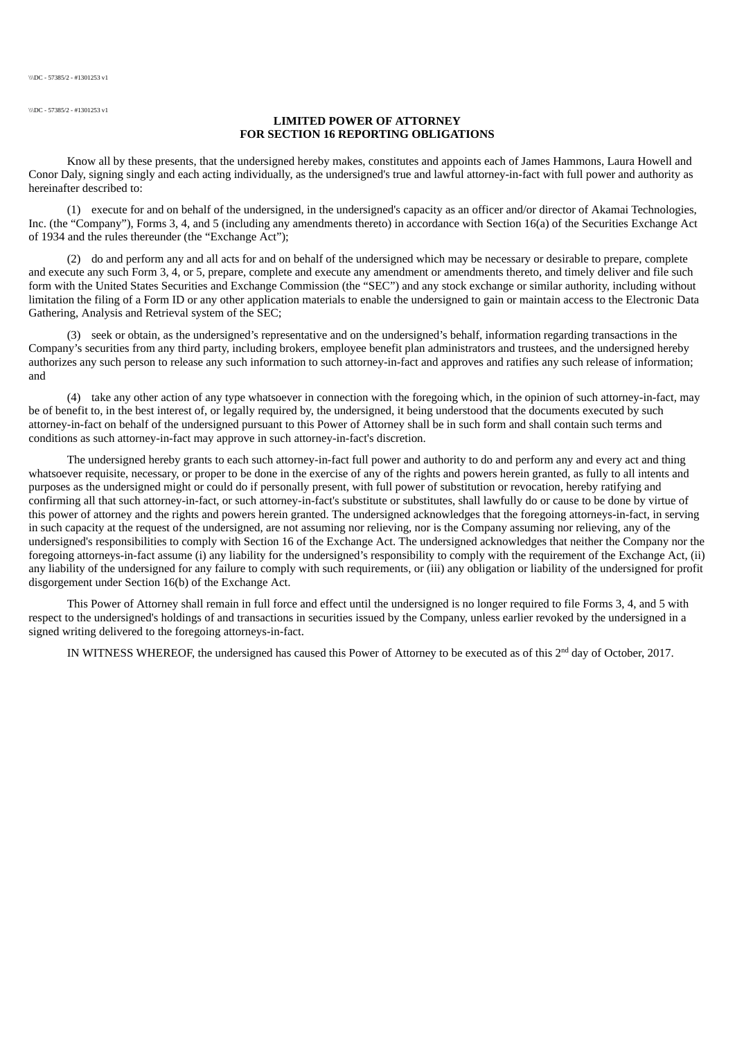\\\DC - 57385/2 - #1301253 v1

## **LIMITED POWER OF ATTORNEY FOR SECTION 16 REPORTING OBLIGATIONS**

Know all by these presents, that the undersigned hereby makes, constitutes and appoints each of James Hammons, Laura Howell and Conor Daly, signing singly and each acting individually, as the undersigned's true and lawful attorney-in-fact with full power and authority as hereinafter described to:

(1) execute for and on behalf of the undersigned, in the undersigned's capacity as an officer and/or director of Akamai Technologies, Inc. (the "Company"), Forms 3, 4, and 5 (including any amendments thereto) in accordance with Section 16(a) of the Securities Exchange Act of 1934 and the rules thereunder (the "Exchange Act");

(2) do and perform any and all acts for and on behalf of the undersigned which may be necessary or desirable to prepare, complete and execute any such Form 3, 4, or 5, prepare, complete and execute any amendment or amendments thereto, and timely deliver and file such form with the United States Securities and Exchange Commission (the "SEC") and any stock exchange or similar authority, including without limitation the filing of a Form ID or any other application materials to enable the undersigned to gain or maintain access to the Electronic Data Gathering, Analysis and Retrieval system of the SEC;

(3) seek or obtain, as the undersigned's representative and on the undersigned's behalf, information regarding transactions in the Company's securities from any third party, including brokers, employee benefit plan administrators and trustees, and the undersigned hereby authorizes any such person to release any such information to such attorney‑in‑fact and approves and ratifies any such release of information; and

(4) take any other action of any type whatsoever in connection with the foregoing which, in the opinion of such attorney-in-fact, may be of benefit to, in the best interest of, or legally required by, the undersigned, it being understood that the documents executed by such attorney‑in‑fact on behalf of the undersigned pursuant to this Power of Attorney shall be in such form and shall contain such terms and conditions as such attorney-in-fact may approve in such attorney-in-fact's discretion.

The undersigned hereby grants to each such attorney-in-fact full power and authority to do and perform any and every act and thing whatsoever requisite, necessary, or proper to be done in the exercise of any of the rights and powers herein granted, as fully to all intents and purposes as the undersigned might or could do if personally present, with full power of substitution or revocation, hereby ratifying and confirming all that such attorney-in-fact, or such attorney-in-fact's substitute or substitutes, shall lawfully do or cause to be done by virtue of this power of attorney and the rights and powers herein granted. The undersigned acknowledges that the foregoing attorneys-in-fact, in serving in such capacity at the request of the undersigned, are not assuming nor relieving, nor is the Company assuming nor relieving, any of the undersigned's responsibilities to comply with Section 16 of the Exchange Act. The undersigned acknowledges that neither the Company nor the foregoing attorneys-in-fact assume (i) any liability for the undersigned's responsibility to comply with the requirement of the Exchange Act, (ii) any liability of the undersigned for any failure to comply with such requirements, or (iii) any obligation or liability of the undersigned for profit disgorgement under Section 16(b) of the Exchange Act.

This Power of Attorney shall remain in full force and effect until the undersigned is no longer required to file Forms 3, 4, and 5 with respect to the undersigned's holdings of and transactions in securities issued by the Company, unless earlier revoked by the undersigned in a signed writing delivered to the foregoing attorneys-in-fact.

IN WITNESS WHEREOF, the undersigned has caused this Power of Attorney to be executed as of this  $2^{nd}$  day of October, 2017.